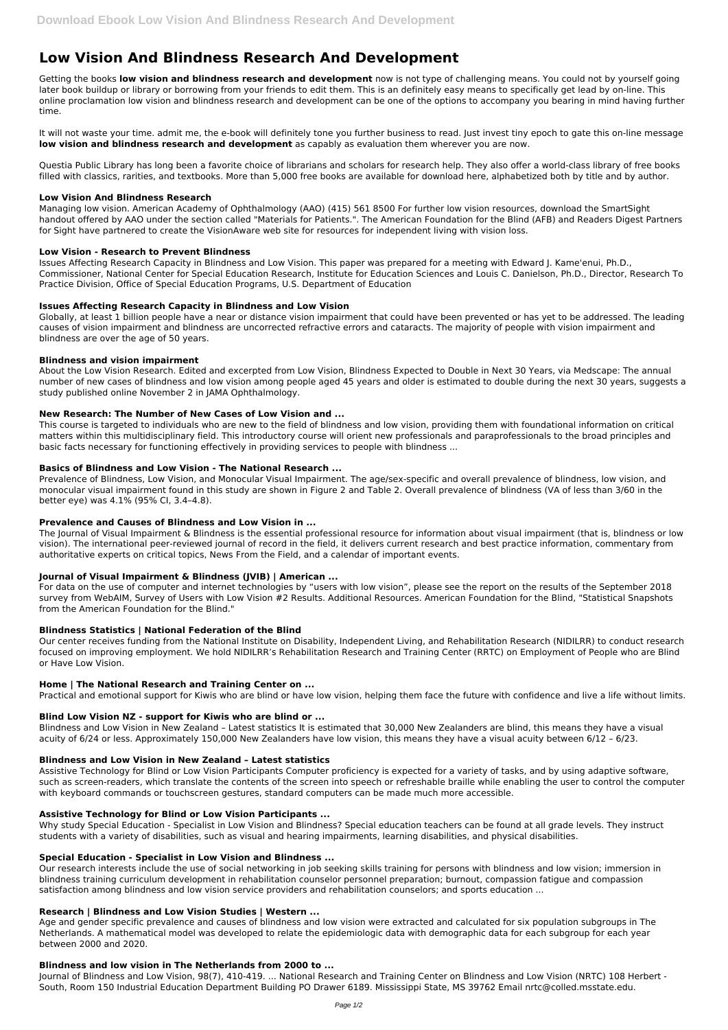# **Low Vision And Blindness Research And Development**

Getting the books **low vision and blindness research and development** now is not type of challenging means. You could not by yourself going later book buildup or library or borrowing from your friends to edit them. This is an definitely easy means to specifically get lead by on-line. This online proclamation low vision and blindness research and development can be one of the options to accompany you bearing in mind having further time.

It will not waste your time. admit me, the e-book will definitely tone you further business to read. Just invest tiny epoch to gate this on-line message **low vision and blindness research and development** as capably as evaluation them wherever you are now.

Questia Public Library has long been a favorite choice of librarians and scholars for research help. They also offer a world-class library of free books filled with classics, rarities, and textbooks. More than 5,000 free books are available for download here, alphabetized both by title and by author.

## **Low Vision And Blindness Research**

Managing low vision. American Academy of Ophthalmology (AAO) (415) 561 8500 For further low vision resources, download the SmartSight handout offered by AAO under the section called "Materials for Patients.". The American Foundation for the Blind (AFB) and Readers Digest Partners for Sight have partnered to create the VisionAware web site for resources for independent living with vision loss.

## **Low Vision - Research to Prevent Blindness**

Issues Affecting Research Capacity in Blindness and Low Vision. This paper was prepared for a meeting with Edward J. Kame'enui, Ph.D., Commissioner, National Center for Special Education Research, Institute for Education Sciences and Louis C. Danielson, Ph.D., Director, Research To Practice Division, Office of Special Education Programs, U.S. Department of Education

## **Issues Affecting Research Capacity in Blindness and Low Vision**

Globally, at least 1 billion people have a near or distance vision impairment that could have been prevented or has yet to be addressed. The leading causes of vision impairment and blindness are uncorrected refractive errors and cataracts. The majority of people with vision impairment and blindness are over the age of 50 years.

## **Blindness and vision impairment**

About the Low Vision Research. Edited and excerpted from Low Vision, Blindness Expected to Double in Next 30 Years, via Medscape: The annual number of new cases of blindness and low vision among people aged 45 years and older is estimated to double during the next 30 years, suggests a study published online November 2 in JAMA Ophthalmology.

## **New Research: The Number of New Cases of Low Vision and ...**

This course is targeted to individuals who are new to the field of blindness and low vision, providing them with foundational information on critical matters within this multidisciplinary field. This introductory course will orient new professionals and paraprofessionals to the broad principles and basic facts necessary for functioning effectively in providing services to people with blindness ...

## **Basics of Blindness and Low Vision - The National Research ...**

Prevalence of Blindness, Low Vision, and Monocular Visual Impairment. The age/sex-specific and overall prevalence of blindness, low vision, and monocular visual impairment found in this study are shown in Figure 2 and Table 2. Overall prevalence of blindness (VA of less than 3/60 in the better eye) was 4.1% (95% CI, 3.4–4.8).

## **Prevalence and Causes of Blindness and Low Vision in ...**

The Journal of Visual Impairment & Blindness is the essential professional resource for information about visual impairment (that is, blindness or low vision). The international peer-reviewed journal of record in the field, it delivers current research and best practice information, commentary from authoritative experts on critical topics, News From the Field, and a calendar of important events.

# **Journal of Visual Impairment & Blindness (JVIB) | American ...**

For data on the use of computer and internet technologies by "users with low vision", please see the report on the results of the September 2018 survey from WebAIM, Survey of Users with Low Vision #2 Results. Additional Resources. American Foundation for the Blind, "Statistical Snapshots from the American Foundation for the Blind."

# **Blindness Statistics | National Federation of the Blind**

Our center receives funding from the National Institute on Disability, Independent Living, and Rehabilitation Research (NIDILRR) to conduct research focused on improving employment. We hold NIDILRR's Rehabilitation Research and Training Center (RRTC) on Employment of People who are Blind or Have Low Vision.

# **Home | The National Research and Training Center on ...**

Practical and emotional support for Kiwis who are blind or have low vision, helping them face the future with confidence and live a life without limits.

# **Blind Low Vision NZ - support for Kiwis who are blind or ...**

Blindness and Low Vision in New Zealand – Latest statistics It is estimated that 30,000 New Zealanders are blind, this means they have a visual acuity of 6/24 or less. Approximately 150,000 New Zealanders have low vision, this means they have a visual acuity between 6/12 – 6/23.

## **Blindness and Low Vision in New Zealand – Latest statistics**

Assistive Technology for Blind or Low Vision Participants Computer proficiency is expected for a variety of tasks, and by using adaptive software,

such as screen-readers, which translate the contents of the screen into speech or refreshable braille while enabling the user to control the computer with keyboard commands or touchscreen gestures, standard computers can be made much more accessible.

## **Assistive Technology for Blind or Low Vision Participants ...**

Why study Special Education - Specialist in Low Vision and Blindness? Special education teachers can be found at all grade levels. They instruct students with a variety of disabilities, such as visual and hearing impairments, learning disabilities, and physical disabilities.

#### **Special Education - Specialist in Low Vision and Blindness ...**

Our research interests include the use of social networking in job seeking skills training for persons with blindness and low vision; immersion in blindness training curriculum development in rehabilitation counselor personnel preparation; burnout, compassion fatigue and compassion satisfaction among blindness and low vision service providers and rehabilitation counselors; and sports education ...

#### **Research | Blindness and Low Vision Studies | Western ...**

Age and gender specific prevalence and causes of blindness and low vision were extracted and calculated for six population subgroups in The Netherlands. A mathematical model was developed to relate the epidemiologic data with demographic data for each subgroup for each year between 2000 and 2020.

#### **Blindness and low vision in The Netherlands from 2000 to ...**

Journal of Blindness and Low Vision, 98(7), 410-419. ... National Research and Training Center on Blindness and Low Vision (NRTC) 108 Herbert - South, Room 150 Industrial Education Department Building PO Drawer 6189. Mississippi State, MS 39762 Email nrtc@colled.msstate.edu.